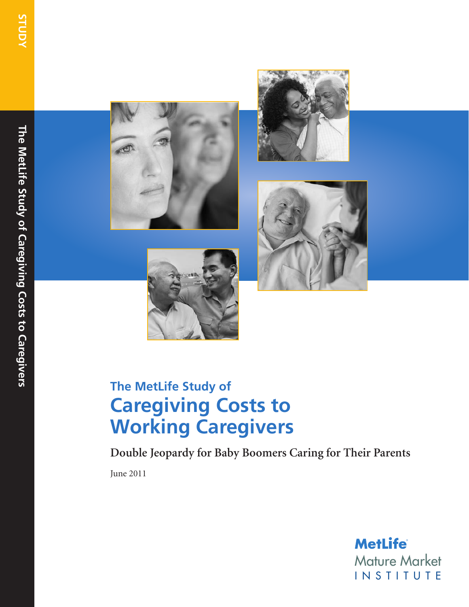The MetLife Study of Caregiving Costs to Caregivers **The MetLife Study of Caregiving Costs to Caregivers**









# **The MetLife Study of Caregiving Costs to Working Caregivers**

**Double Jeopardy for Baby Boomers Caring for Their Parents**

June 2011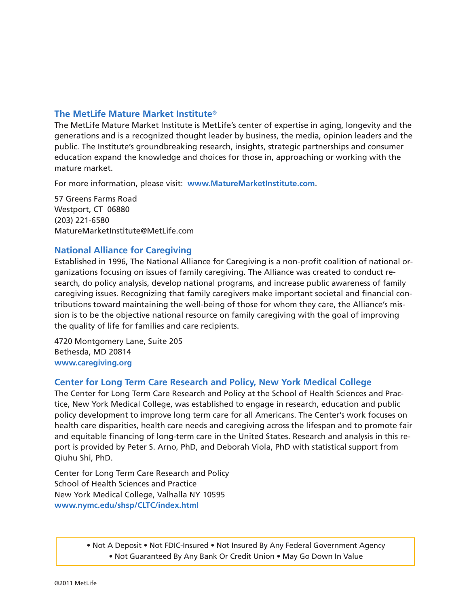#### **The MetLife Mature Market Institute®**

The MetLife Mature Market Institute is MetLife's center of expertise in aging, longevity and the generations and is a recognized thought leader by business, the media, opinion leaders and the public. The Institute's groundbreaking research, insights, strategic partnerships and consumer education expand the knowledge and choices for those in, approaching or working with the mature market.

For more information, please visit: **www.MatureMarketInstitute.com**.

57 Greens Farms Road Westport, CT 06880 (203) 221-6580 MatureMarketInstitute@MetLife.com

#### **National Alliance for Caregiving**

Established in 1996, The National Alliance for Caregiving is a non-profit coalition of national organizations focusing on issues of family caregiving. The Alliance was created to conduct research, do policy analysis, develop national programs, and increase public awareness of family caregiving issues. Recognizing that family caregivers make important societal and financial contributions toward maintaining the well-being of those for whom they care, the Alliance's mission is to be the objective national resource on family caregiving with the goal of improving the quality of life for families and care recipients.

4720 Montgomery Lane, Suite 205 Bethesda, MD 20814 **www.caregiving.org**

#### **Center for Long Term Care Research and Policy, New York Medical College**

The Center for Long Term Care Research and Policy at the School of Health Sciences and Practice, New York Medical College, was established to engage in research, education and public policy development to improve long term care for all Americans. The Center's work focuses on health care disparities, health care needs and caregiving across the lifespan and to promote fair and equitable financing of long-term care in the United States. Research and analysis in this report is provided by Peter S. Arno, PhD, and Deborah Viola, PhD with statistical support from Qiuhu Shi, PhD.

Center for Long Term Care Research and Policy School of Health Sciences and Practice New York Medical College, Valhalla NY 10595 **www.nymc.edu/shsp/CLTC/index.html**

> • Not A Deposit • Not FDIC-Insured • Not Insured By Any Federal Government Agency • Not Guaranteed By Any Bank Or Credit Union • May Go Down In Value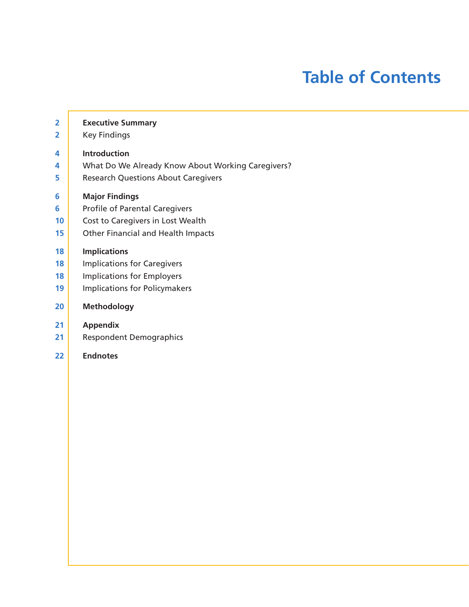# **Table of Contents**

| $\overline{\mathbf{2}}$ | <b>Executive Summary</b>                          |
|-------------------------|---------------------------------------------------|
| $\overline{\mathbf{2}}$ | <b>Key Findings</b>                               |
| 4                       | Introduction                                      |
| 4                       | What Do We Already Know About Working Caregivers? |
| 5                       | <b>Research Questions About Caregivers</b>        |
| 6                       | <b>Major Findings</b>                             |
| 6                       | <b>Profile of Parental Caregivers</b>             |
| 10                      | Cost to Caregivers in Lost Wealth                 |
| 15                      | <b>Other Financial and Health Impacts</b>         |
| 18                      | <b>Implications</b>                               |
| 18                      | <b>Implications for Caregivers</b>                |
| 18                      | <b>Implications for Employers</b>                 |
| 19                      | <b>Implications for Policymakers</b>              |
| 20                      | <b>Methodology</b>                                |
| 21                      | <b>Appendix</b>                                   |
| 21                      | <b>Respondent Demographics</b>                    |
| 22                      | <b>Endnotes</b>                                   |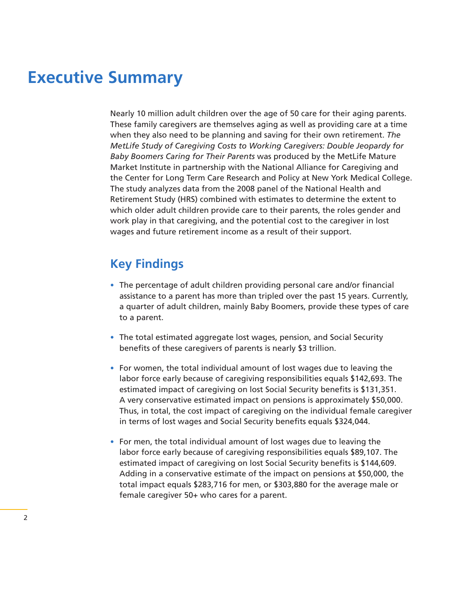## **Executive Summary**

Nearly 10 million adult children over the age of 50 care for their aging parents. These family caregivers are themselves aging as well as providing care at a time when they also need to be planning and saving for their own retirement. *The MetLife Study of Caregiving Costs to Working Caregivers: Double Jeopardy for Baby Boomers Caring for Their Parents* was produced by the MetLife Mature Market Institute in partnership with the National Alliance for Caregiving and the Center for Long Term Care Research and Policy at New York Medical College. The study analyzes data from the 2008 panel of the National Health and Retirement Study (HRS) combined with estimates to determine the extent to which older adult children provide care to their parents, the roles gender and work play in that caregiving, and the potential cost to the caregiver in lost wages and future retirement income as a result of their support.

### **Key Findings**

- The percentage of adult children providing personal care and/or financial assistance to a parent has more than tripled over the past 15 years. Currently, a quarter of adult children, mainly Baby Boomers, provide these types of care to a parent.
- The total estimated aggregate lost wages, pension, and Social Security benefits of these caregivers of parents is nearly \$3 trillion.
- For women, the total individual amount of lost wages due to leaving the labor force early because of caregiving responsibilities equals \$142,693. The estimated impact of caregiving on lost Social Security benefits is \$131,351. A very conservative estimated impact on pensions is approximately \$50,000. Thus, in total, the cost impact of caregiving on the individual female caregiver in terms of lost wages and Social Security benefits equals \$324,044.
- For men, the total individual amount of lost wages due to leaving the labor force early because of caregiving responsibilities equals \$89,107. The estimated impact of caregiving on lost Social Security benefits is \$144,609. Adding in a conservative estimate of the impact on pensions at \$50,000, the total impact equals \$283,716 for men, or \$303,880 for the average male or female caregiver 50+ who cares for a parent.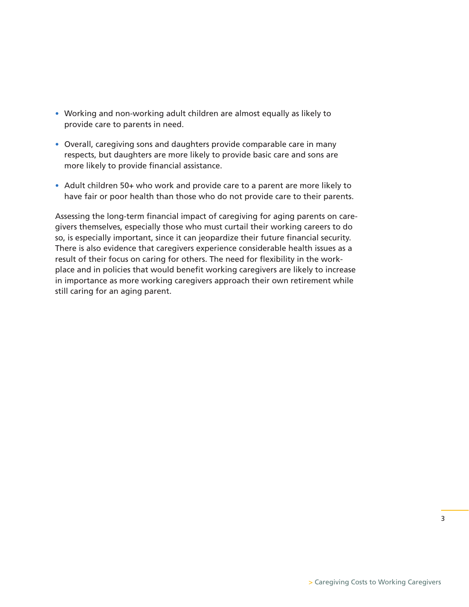- Working and non-working adult children are almost equally as likely to provide care to parents in need.
- Overall, caregiving sons and daughters provide comparable care in many respects, but daughters are more likely to provide basic care and sons are more likely to provide financial assistance.
- Adult children 50+ who work and provide care to a parent are more likely to have fair or poor health than those who do not provide care to their parents.

Assessing the long-term financial impact of caregiving for aging parents on caregivers themselves, especially those who must curtail their working careers to do so, is especially important, since it can jeopardize their future financial security. There is also evidence that caregivers experience considerable health issues as a result of their focus on caring for others. The need for flexibility in the workplace and in policies that would benefit working caregivers are likely to increase in importance as more working caregivers approach their own retirement while still caring for an aging parent.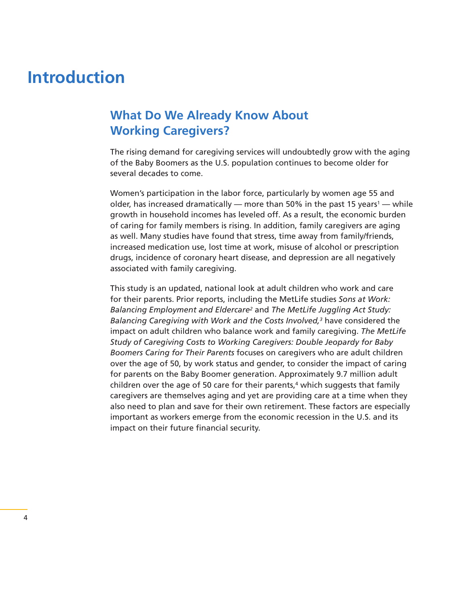## **Introduction**

### **What Do We Already Know About Working Caregivers?**

The rising demand for caregiving services will undoubtedly grow with the aging of the Baby Boomers as the U.S. population continues to become older for several decades to come.

Women's participation in the labor force, particularly by women age 55 and older, has increased dramatically — more than 50% in the past 15 years<sup>1</sup> — while growth in household incomes has leveled off. As a result, the economic burden of caring for family members is rising. In addition, family caregivers are aging as well. Many studies have found that stress, time away from family/friends, increased medication use, lost time at work, misuse of alcohol or prescription drugs, incidence of coronary heart disease, and depression are all negatively associated with family caregiving.

This study is an updated, national look at adult children who work and care for their parents. Prior reports, including the MetLife studies *Sons at Work: Balancing Employment and Eldercare2* and *The MetLife Juggling Act Study: Balancing Caregiving with Work and the Costs Involved,3* have considered the impact on adult children who balance work and family caregiving. *The MetLife Study of Caregiving Costs to Working Caregivers: Double Jeopardy for Baby Boomers Caring for Their Parents* focuses on caregivers who are adult children over the age of 50, by work status and gender, to consider the impact of caring for parents on the Baby Boomer generation. Approximately 9.7 million adult children over the age of 50 care for their parents,<sup>4</sup> which suggests that family caregivers are themselves aging and yet are providing care at a time when they also need to plan and save for their own retirement. These factors are especially important as workers emerge from the economic recession in the U.S. and its impact on their future financial security.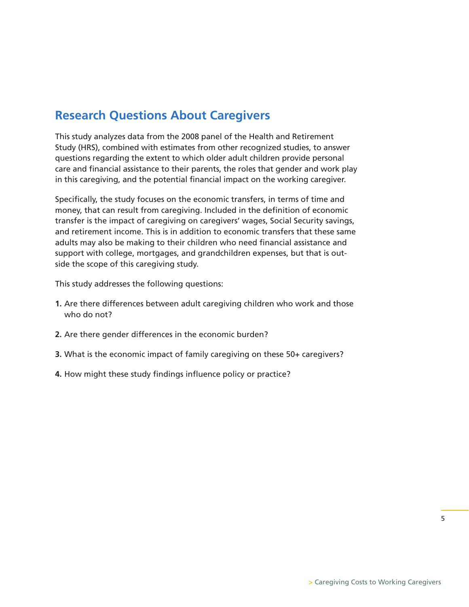### **Research Questions About Caregivers**

This study analyzes data from the 2008 panel of the Health and Retirement Study (HRS), combined with estimates from other recognized studies, to answer questions regarding the extent to which older adult children provide personal care and financial assistance to their parents, the roles that gender and work play in this caregiving, and the potential financial impact on the working caregiver.

Specifically, the study focuses on the economic transfers, in terms of time and money, that can result from caregiving. Included in the definition of economic transfer is the impact of caregiving on caregivers' wages, Social Security savings, and retirement income. This is in addition to economic transfers that these same adults may also be making to their children who need financial assistance and support with college, mortgages, and grandchildren expenses, but that is outside the scope of this caregiving study.

This study addresses the following questions:

- **1.** Are there differences between adult caregiving children who work and those who do not?
- **2.** Are there gender differences in the economic burden?
- **3.** What is the economic impact of family caregiving on these 50+ caregivers?
- **4.** How might these study findings influence policy or practice?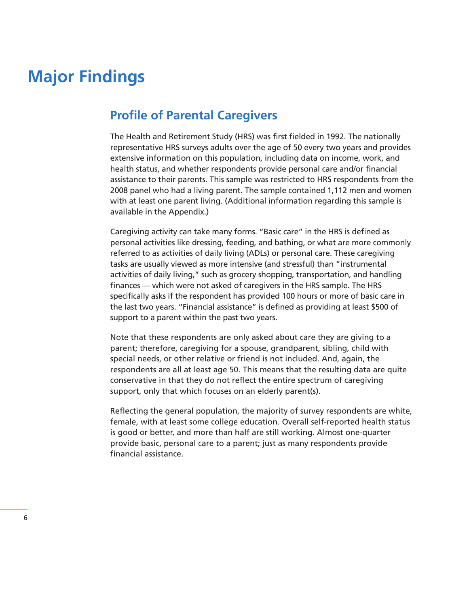# **Major Findings**

### **Profile of Parental Caregivers**

The Health and Retirement Study (HRS) was first fielded in 1992. The nationally representative HRS surveys adults over the age of 50 every two years and provides extensive information on this population, including data on income, work, and health status, and whether respondents provide personal care and/or financial assistance to their parents. This sample was restricted to HRS respondents from the 2008 panel who had a living parent. The sample contained 1,112 men and women with at least one parent living. (Additional information regarding this sample is available in the Appendix.)

Caregiving activity can take many forms. "Basic care" in the HRS is defined as personal activities like dressing, feeding, and bathing, or what are more commonly referred to as activities of daily living (ADLs) or personal care. These caregiving tasks are usually viewed as more intensive (and stressful) than "instrumental activities of daily living," such as grocery shopping, transportation, and handling finances — which were not asked of caregivers in the HRS sample. The HRS specifically asks if the respondent has provided 100 hours or more of basic care in the last two years. "Financial assistance" is defined as providing at least \$500 of support to a parent within the past two years.

Note that these respondents are only asked about care they are giving to a parent; therefore, caregiving for a spouse, grandparent, sibling, child with special needs, or other relative or friend is not included. And, again, the respondents are all at least age 50. This means that the resulting data are quite conservative in that they do not reflect the entire spectrum of caregiving support, only that which focuses on an elderly parent(s).

Reflecting the general population, the majority of survey respondents are white, female, with at least some college education. Overall self-reported health status is good or better, and more than half are still working. Almost one-quarter provide basic, personal care to a parent; just as many respondents provide financial assistance.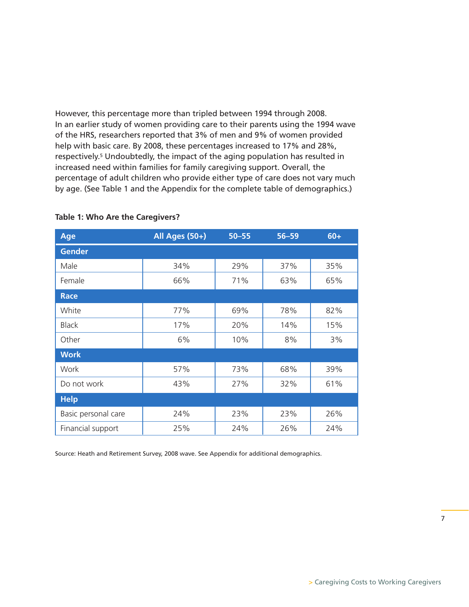However, this percentage more than tripled between 1994 through 2008. In an earlier study of women providing care to their parents using the 1994 wave of the HRS, researchers reported that 3% of men and 9% of women provided help with basic care. By 2008, these percentages increased to 17% and 28%, respectively.<sup>5</sup> Undoubtedly, the impact of the aging population has resulted in increased need within families for family caregiving support. Overall, the percentage of adult children who provide either type of care does not vary much by age. (See Table 1 and the Appendix for the complete table of demographics.)

| Age                 | All Ages (50+) | $50 - 55$ | $56 - 59$ | $60+$ |
|---------------------|----------------|-----------|-----------|-------|
| <b>Gender</b>       |                |           |           |       |
| Male                | 34%            | 29%       | 37%       | 35%   |
| Female              | 66%            | 71%       | 63%       | 65%   |
| <b>Race</b>         |                |           |           |       |
| White               | 77%            | 69%       | 78%       | 82%   |
| <b>Black</b>        | 17%            | 20%       | 14%       | 15%   |
| Other               | 6%             | 10%       | 8%        | 3%    |
| <b>Work</b>         |                |           |           |       |
| Work                | 57%            | 73%       | 68%       | 39%   |
| Do not work         | 43%            | 27%       | 32%       | 61%   |
| <b>Help</b>         |                |           |           |       |
| Basic personal care | 24%            | 23%       | 23%       | 26%   |
| Financial support   | 25%            | 24%       | 26%       | 24%   |

#### **Table 1: Who Are the Caregivers?**

Source: Heath and Retirement Survey, 2008 wave. See Appendix for additional demographics.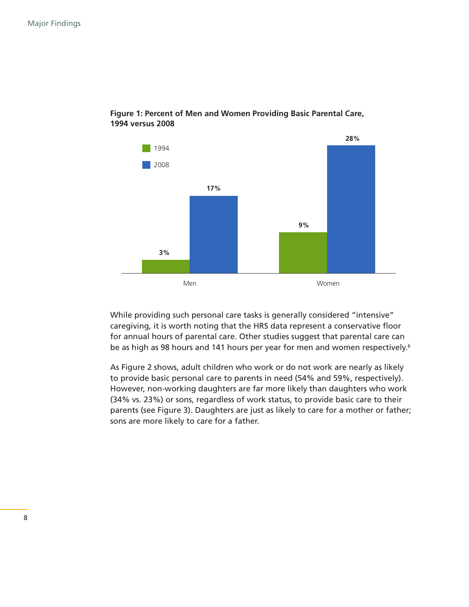

#### **Figure 1: Percent of Men and Women Providing Basic Parental Care, 1994 versus 2008**

While providing such personal care tasks is generally considered "intensive" caregiving, it is worth noting that the HRS data represent a conservative floor for annual hours of parental care. Other studies suggest that parental care can be as high as 98 hours and 141 hours per year for men and women respectively.<sup>6</sup>

As Figure 2 shows, adult children who work or do not work are nearly as likely to provide basic personal care to parents in need (54% and 59%, respectively). However, non-working daughters are far more likely than daughters who work (34% vs. 23%) or sons, regardless of work status, to provide basic care to their parents (see Figure 3). Daughters are just as likely to care for a mother or father; sons are more likely to care for a father.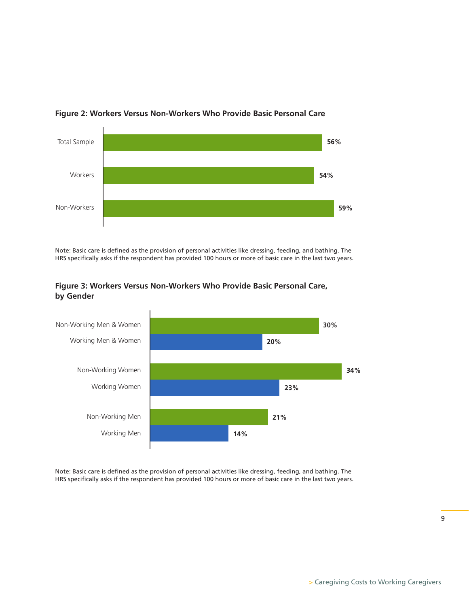

#### **Figure 2: Workers Versus Non-Workers Who Provide Basic Personal Care**

Note: Basic care is defined as the provision of personal activities like dressing, feeding, and bathing. The HRS specifically asks if the respondent has provided 100 hours or more of basic care in the last two years.



#### **Figure 3: Workers Versus Non-Workers Who Provide Basic Personal Care, by Gender**

Note: Basic care is defined as the provision of personal activities like dressing, feeding, and bathing. The HRS specifically asks if the respondent has provided 100 hours or more of basic care in the last two years.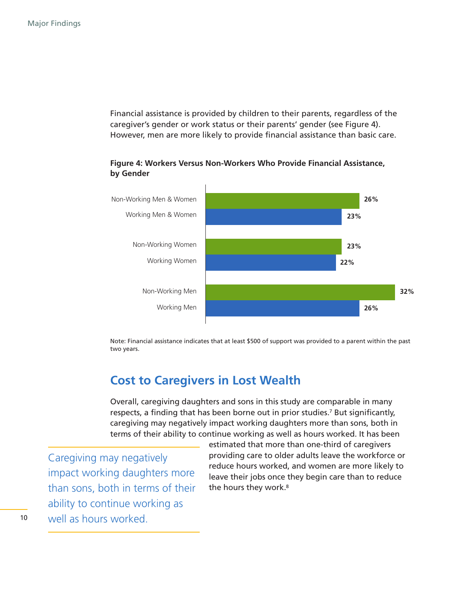Financial assistance is provided by children to their parents, regardless of the caregiver's gender or work status or their parents' gender (see Figure 4). However, men are more likely to provide financial assistance than basic care.

**Figure 4: Workers Versus Non-Workers Who Provide Financial Assistance, by Gender**



Note: Financial assistance indicates that at least \$500 of support was provided to a parent within the past two years.

### **Cost to Caregivers in Lost Wealth**

Overall, caregiving daughters and sons in this study are comparable in many respects, a finding that has been borne out in prior studies.<sup>7</sup> But significantly, caregiving may negatively impact working daughters more than sons, both in terms of their ability to continue working as well as hours worked. It has been

Caregiving may negatively impact working daughters more than sons, both in terms of their ability to continue working as well as hours worked.

estimated that more than one-third of caregivers providing care to older adults leave the workforce or reduce hours worked, and women are more likely to leave their jobs once they begin care than to reduce the hours they work.<sup>8</sup>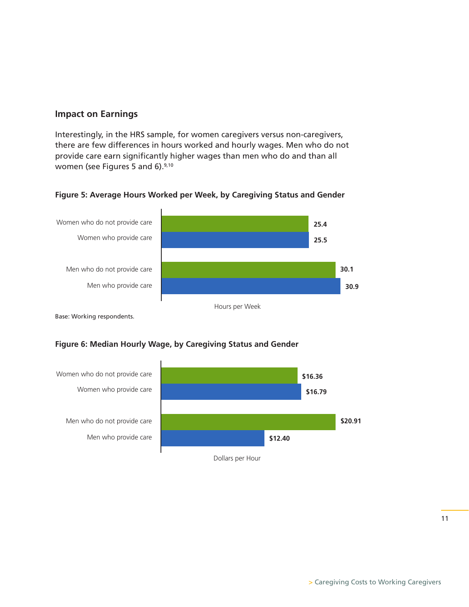#### **Impact on Earnings**

Interestingly, in the HRS sample, for women caregivers versus non-caregivers, there are few differences in hours worked and hourly wages. Men who do not provide care earn significantly higher wages than men who do and than all women (see Figures 5 and 6).<sup>9,10</sup>

#### **Figure 5: Average Hours Worked per Week, by Caregiving Status and Gender**



Base: Working respondents.

#### **Figure 6: Median Hourly Wage, by Caregiving Status and Gender**



11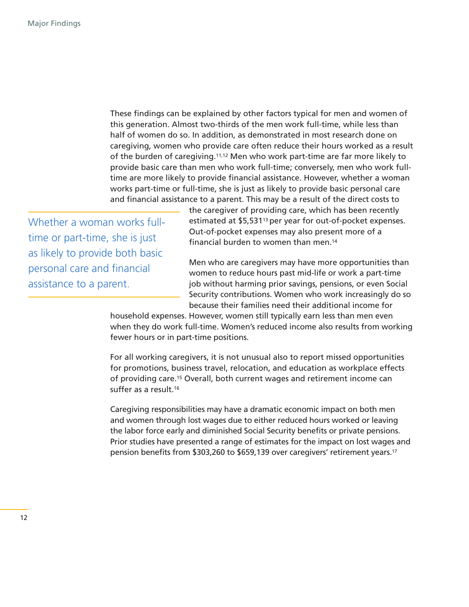These findings can be explained by other factors typical for men and women of this generation. Almost two-thirds of the men work full-time, while less than half of women do so. In addition, as demonstrated in most research done on caregiving, women who provide care often reduce their hours worked as a result of the burden of caregiving.11,12 Men who work part-time are far more likely to provide basic care than men who work full-time; conversely, men who work fulltime are more likely to provide financial assistance. However, whether a woman works part-time or full-time, she is just as likely to provide basic personal care and financial assistance to a parent. This may be a result of the direct costs to

Whether a woman works fulltime or part-time, she is just as likely to provide both basic personal care and financial assistance to a parent.

the caregiver of providing care, which has been recently estimated at \$5,53113 per year for out-of-pocket expenses. Out-of-pocket expenses may also present more of a financial burden to women than men.14

Men who are caregivers may have more opportunities than women to reduce hours past mid-life or work a part-time job without harming prior savings, pensions, or even Social Security contributions. Women who work increasingly do so because their families need their additional income for

household expenses. However, women still typically earn less than men even when they do work full-time. Women's reduced income also results from working fewer hours or in part-time positions.

For all working caregivers, it is not unusual also to report missed opportunities for promotions, business travel, relocation, and education as workplace effects of providing care.15 Overall, both current wages and retirement income can suffer as a result.16

Caregiving responsibilities may have a dramatic economic impact on both men and women through lost wages due to either reduced hours worked or leaving the labor force early and diminished Social Security benefits or private pensions. Prior studies have presented a range of estimates for the impact on lost wages and pension benefits from \$303,260 to \$659,139 over caregivers' retirement years.17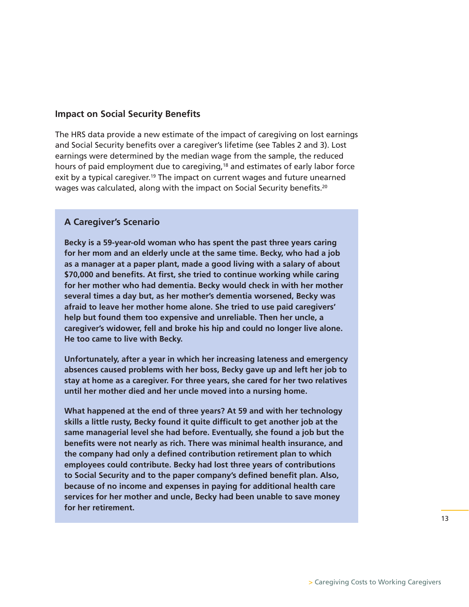#### **Impact on Social Security Benefits**

The HRS data provide a new estimate of the impact of caregiving on lost earnings and Social Security benefits over a caregiver's lifetime (see Tables 2 and 3). Lost earnings were determined by the median wage from the sample, the reduced hours of paid employment due to caregiving,<sup>18</sup> and estimates of early labor force exit by a typical caregiver.<sup>19</sup> The impact on current wages and future unearned wages was calculated, along with the impact on Social Security benefits.<sup>20</sup>

#### **A Caregiver's Scenario**

**Becky is a 59-year-old woman who has spent the past three years caring for her mom and an elderly uncle at the same time. Becky, who had a job as a manager at a paper plant, made a good living with a salary of about \$70,000 and benefits. At first, she tried to continue working while caring for her mother who had dementia. Becky would check in with her mother several times a day but, as her mother's dementia worsened, Becky was afraid to leave her mother home alone. She tried to use paid caregivers' help but found them too expensive and unreliable. Then her uncle, a caregiver's widower, fell and broke his hip and could no longer live alone. He too came to live with Becky.**

**Unfortunately, after a year in which her increasing lateness and emergency absences caused problems with her boss, Becky gave up and left her job to stay at home as a caregiver. For three years, she cared for her two relatives until her mother died and her uncle moved into a nursing home.**

**What happened at the end of three years? At 59 and with her technology skills a little rusty, Becky found it quite difficult to get another job at the same managerial level she had before. Eventually, she found a job but the benefits were not nearly as rich. There was minimal health insurance, and the company had only a defined contribution retirement plan to which employees could contribute. Becky had lost three years of contributions to Social Security and to the paper company's defined benefit plan. Also, because of no income and expenses in paying for additional health care services for her mother and uncle, Becky had been unable to save money for her retirement.**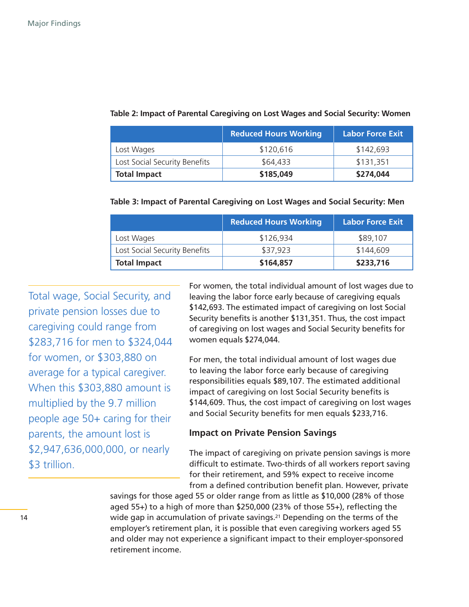|                               | <b>Reduced Hours Working</b> | <b>Labor Force Exit</b> |
|-------------------------------|------------------------------|-------------------------|
| Lost Wages                    | \$120,616                    | \$142,693               |
| Lost Social Security Benefits | \$64,433                     | \$131,351               |
| <b>Total Impact</b>           | \$185,049                    | \$274,044               |

#### **Table 2: Impact of Parental Caregiving on Lost Wages and Social Security: Women**

| Table 3: Impact of Parental Caregiving on Lost Wages and Social Security: Men |  |  |
|-------------------------------------------------------------------------------|--|--|
|                                                                               |  |  |

|                               | <b>Reduced Hours Working</b> | <b>Labor Force Exit</b> |
|-------------------------------|------------------------------|-------------------------|
| Lost Wages                    | \$126,934                    | \$89,107                |
| Lost Social Security Benefits | \$37,923                     | \$144,609               |
| <b>Total Impact</b>           | \$164,857                    | \$233,716               |

Total wage, Social Security, and private pension losses due to caregiving could range from \$283,716 for men to \$324,044 for women, or \$303,880 on average for a typical caregiver. When this \$303,880 amount is multiplied by the 9.7 million people age 50+ caring for their parents, the amount lost is \$2,947,636,000,000, or nearly \$3 trillion.

For women, the total individual amount of lost wages due to leaving the labor force early because of caregiving equals \$142,693. The estimated impact of caregiving on lost Social Security benefits is another \$131,351. Thus, the cost impact of caregiving on lost wages and Social Security benefits for women equals \$274,044.

For men, the total individual amount of lost wages due to leaving the labor force early because of caregiving responsibilities equals \$89,107. The estimated additional impact of caregiving on lost Social Security benefits is \$144,609. Thus, the cost impact of caregiving on lost wages and Social Security benefits for men equals \$233,716.

#### **Impact on Private Pension Savings**

The impact of caregiving on private pension savings is more difficult to estimate. Two-thirds of all workers report saving for their retirement, and 59% expect to receive income from a defined contribution benefit plan. However, private

savings for those aged 55 or older range from as little as \$10,000 (28% of those aged 55+) to a high of more than \$250,000 (23% of those 55+), reflecting the wide gap in accumulation of private savings.<sup>21</sup> Depending on the terms of the employer's retirement plan, it is possible that even caregiving workers aged 55 and older may not experience a significant impact to their employer-sponsored retirement income.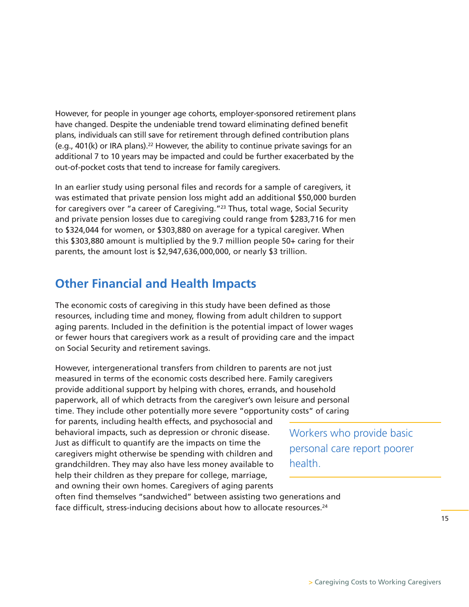However, for people in younger age cohorts, employer-sponsored retirement plans have changed. Despite the undeniable trend toward eliminating defined benefit plans, individuals can still save for retirement through defined contribution plans (e.g., 401(k) or IRA plans).22 However, the ability to continue private savings for an additional 7 to 10 years may be impacted and could be further exacerbated by the out-of-pocket costs that tend to increase for family caregivers.

In an earlier study using personal files and records for a sample of caregivers, it was estimated that private pension loss might add an additional \$50,000 burden for caregivers over "a career of Caregiving."23 Thus, total wage, Social Security and private pension losses due to caregiving could range from \$283,716 for men to \$324,044 for women, or \$303,880 on average for a typical caregiver. When this \$303,880 amount is multiplied by the 9.7 million people 50+ caring for their parents, the amount lost is \$2,947,636,000,000, or nearly \$3 trillion.

### **Other Financial and Health Impacts**

The economic costs of caregiving in this study have been defined as those resources, including time and money, flowing from adult children to support aging parents. Included in the definition is the potential impact of lower wages or fewer hours that caregivers work as a result of providing care and the impact on Social Security and retirement savings.

However, intergenerational transfers from children to parents are not just measured in terms of the economic costs described here. Family caregivers provide additional support by helping with chores, errands, and household paperwork, all of which detracts from the caregiver's own leisure and personal time. They include other potentially more severe "opportunity costs" of caring

for parents, including health effects, and psychosocial and behavioral impacts, such as depression or chronic disease. Just as difficult to quantify are the impacts on time the caregivers might otherwise be spending with children and grandchildren. They may also have less money available to help their children as they prepare for college, marriage, and owning their own homes. Caregivers of aging parents

Workers who provide basic personal care report poorer health.

often find themselves "sandwiched" between assisting two generations and face difficult, stress-inducing decisions about how to allocate resources.24

> Caregiving Costs to Working Caregivers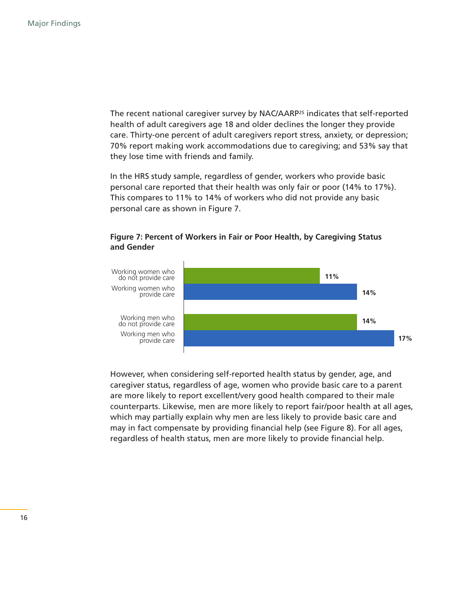The recent national caregiver survey by NAC/AARP25 indicates that self-reported health of adult caregivers age 18 and older declines the longer they provide care. Thirty-one percent of adult caregivers report stress, anxiety, or depression; 70% report making work accommodations due to caregiving; and 53% say that they lose time with friends and family.

In the HRS study sample, regardless of gender, workers who provide basic personal care reported that their health was only fair or poor (14% to 17%). This compares to 11% to 14% of workers who did not provide any basic personal care as shown in Figure 7.



#### **Figure 7: Percent of Workers in Fair or Poor Health, by Caregiving Status and Gender**

However, when considering self-reported health status by gender, age, and caregiver status, regardless of age, women who provide basic care to a parent are more likely to report excellent/very good health compared to their male counterparts. Likewise, men are more likely to report fair/poor health at all ages, which may partially explain why men are less likely to provide basic care and may in fact compensate by providing financial help (see Figure 8). For all ages, regardless of health status, men are more likely to provide financial help.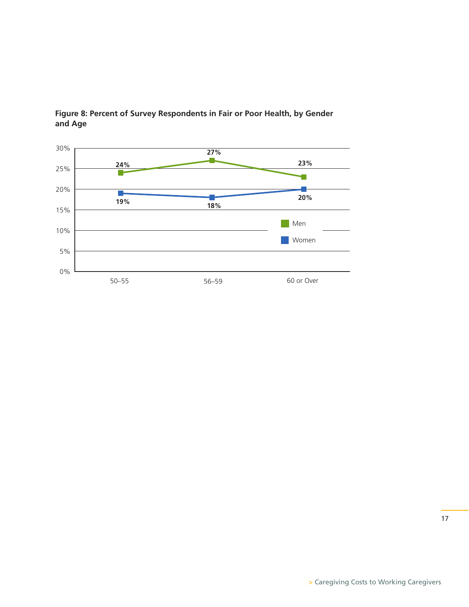

#### **Figure 8: Percent of Survey Respondents in Fair or Poor Health, by Gender and Age**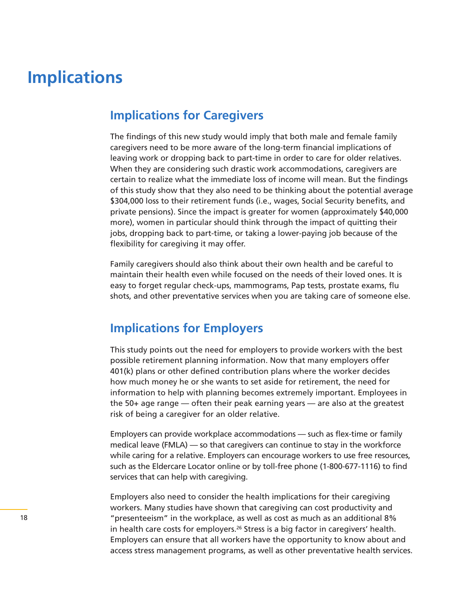## **Implications**

### **Implications for Caregivers**

The findings of this new study would imply that both male and female family caregivers need to be more aware of the long-term financial implications of leaving work or dropping back to part-time in order to care for older relatives. When they are considering such drastic work accommodations, caregivers are certain to realize what the immediate loss of income will mean. But the findings of this study show that they also need to be thinking about the potential average \$304,000 loss to their retirement funds (i.e., wages, Social Security benefits, and private pensions). Since the impact is greater for women (approximately \$40,000 more), women in particular should think through the impact of quitting their jobs, dropping back to part-time, or taking a lower-paying job because of the flexibility for caregiving it may offer.

Family caregivers should also think about their own health and be careful to maintain their health even while focused on the needs of their loved ones. It is easy to forget regular check-ups, mammograms, Pap tests, prostate exams, flu shots, and other preventative services when you are taking care of someone else.

### **Implications for Employers**

This study points out the need for employers to provide workers with the best possible retirement planning information. Now that many employers offer 401(k) plans or other defined contribution plans where the worker decides how much money he or she wants to set aside for retirement, the need for information to help with planning becomes extremely important. Employees in the 50+ age range — often their peak earning years — are also at the greatest risk of being a caregiver for an older relative.

Employers can provide workplace accommodations — such as flex-time or family medical leave (FMLA) — so that caregivers can continue to stay in the workforce while caring for a relative. Employers can encourage workers to use free resources, such as the Eldercare Locator online or by toll-free phone (1-800-677-1116) to find services that can help with caregiving.

Employers also need to consider the health implications for their caregiving workers. Many studies have shown that caregiving can cost productivity and "presenteeism" in the workplace, as well as cost as much as an additional 8% in health care costs for employers.26 Stress is a big factor in caregivers' health. Employers can ensure that all workers have the opportunity to know about and access stress management programs, as well as other preventative health services.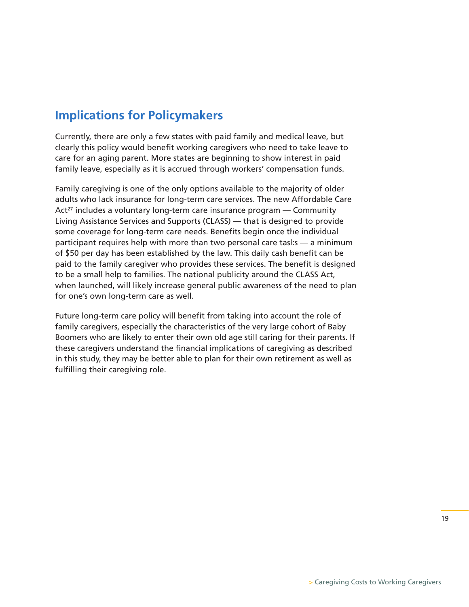### **Implications for Policymakers**

Currently, there are only a few states with paid family and medical leave, but clearly this policy would benefit working caregivers who need to take leave to care for an aging parent. More states are beginning to show interest in paid family leave, especially as it is accrued through workers' compensation funds.

Family caregiving is one of the only options available to the majority of older adults who lack insurance for long-term care services. The new Affordable Care Act<sup>27</sup> includes a voluntary long-term care insurance program – Community Living Assistance Services and Supports (CLASS) — that is designed to provide some coverage for long-term care needs. Benefits begin once the individual participant requires help with more than two personal care tasks — a minimum of \$50 per day has been established by the law. This daily cash benefit can be paid to the family caregiver who provides these services. The benefit is designed to be a small help to families. The national publicity around the CLASS Act, when launched, will likely increase general public awareness of the need to plan for one's own long-term care as well.

Future long-term care policy will benefit from taking into account the role of family caregivers, especially the characteristics of the very large cohort of Baby Boomers who are likely to enter their own old age still caring for their parents. If these caregivers understand the financial implications of caregiving as described in this study, they may be better able to plan for their own retirement as well as fulfilling their caregiving role.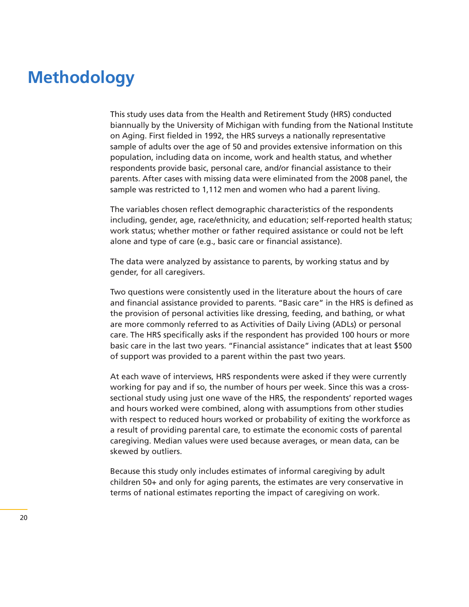## **Methodology**

This study uses data from the Health and Retirement Study (HRS) conducted biannually by the University of Michigan with funding from the National Institute on Aging. First fielded in 1992, the HRS surveys a nationally representative sample of adults over the age of 50 and provides extensive information on this population, including data on income, work and health status, and whether respondents provide basic, personal care, and/or financial assistance to their parents. After cases with missing data were eliminated from the 2008 panel, the sample was restricted to 1,112 men and women who had a parent living.

The variables chosen reflect demographic characteristics of the respondents including, gender, age, race/ethnicity, and education; self-reported health status; work status; whether mother or father required assistance or could not be left alone and type of care (e.g., basic care or financial assistance).

The data were analyzed by assistance to parents, by working status and by gender, for all caregivers.

Two questions were consistently used in the literature about the hours of care and financial assistance provided to parents. "Basic care" in the HRS is defined as the provision of personal activities like dressing, feeding, and bathing, or what are more commonly referred to as Activities of Daily Living (ADLs) or personal care. The HRS specifically asks if the respondent has provided 100 hours or more basic care in the last two years. "Financial assistance" indicates that at least \$500 of support was provided to a parent within the past two years.

At each wave of interviews, HRS respondents were asked if they were currently working for pay and if so, the number of hours per week. Since this was a crosssectional study using just one wave of the HRS, the respondents' reported wages and hours worked were combined, along with assumptions from other studies with respect to reduced hours worked or probability of exiting the workforce as a result of providing parental care, to estimate the economic costs of parental caregiving. Median values were used because averages, or mean data, can be skewed by outliers.

Because this study only includes estimates of informal caregiving by adult children 50+ and only for aging parents, the estimates are very conservative in terms of national estimates reporting the impact of caregiving on work.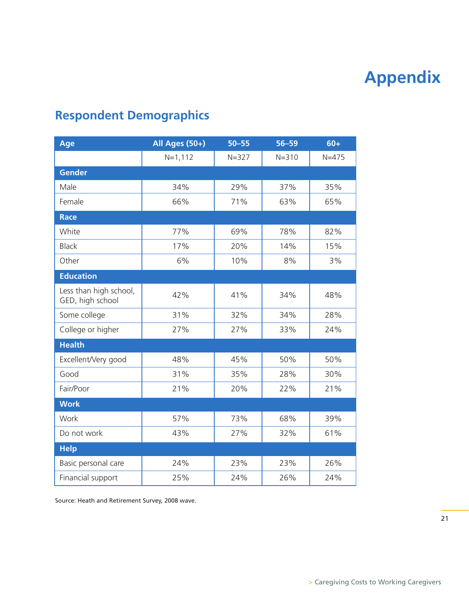# **Appendix**

## **Respondent Demographics**

| Age                                        | All Ages (50+) | $50 - 55$ | $56 - 59$ | $60+$     |
|--------------------------------------------|----------------|-----------|-----------|-----------|
|                                            | $N = 1, 112$   | $N = 327$ | $N = 310$ | $N = 475$ |
| <b>Gender</b>                              |                |           |           |           |
| Male                                       | 34%            | 29%       | 37%       | 35%       |
| Female                                     | 66%            | 71%       | 63%       | 65%       |
| <b>Race</b>                                |                |           |           |           |
| White                                      | 77%            | 69%       | 78%       | 82%       |
| <b>Black</b>                               | 17%            | 20%       | 14%       | 15%       |
| Other                                      | 6%             | 10%       | 8%        | 3%        |
| <b>Education</b>                           |                |           |           |           |
| Less than high school,<br>GED, high school | 42%            | 41%       | 34%       | 48%       |
| Some college                               | 31%            | 32%       | 34%       | 28%       |
| College or higher                          | 27%            | 27%       | 33%       | 24%       |
| <b>Health</b>                              |                |           |           |           |
| Excellent/Very good                        | 48%            | 45%       | 50%       | 50%       |
| Good                                       | 31%            | 35%       | 28%       | 30%       |
| Fair/Poor                                  | 21%            | 20%       | 22%       | 21%       |
| <b>Work</b>                                |                |           |           |           |
| Work                                       | 57%            | 73%       | 68%       | 39%       |
| Do not work                                | 43%            | 27%       | 32%       | 61%       |
| <b>Help</b>                                |                |           |           |           |
| Basic personal care                        | 24%            | 23%       | 23%       | 26%       |
| Financial support                          | 25%            | 24%       | 26%       | 24%       |

Source: Heath and Retirement Survey, 2008 wave.

21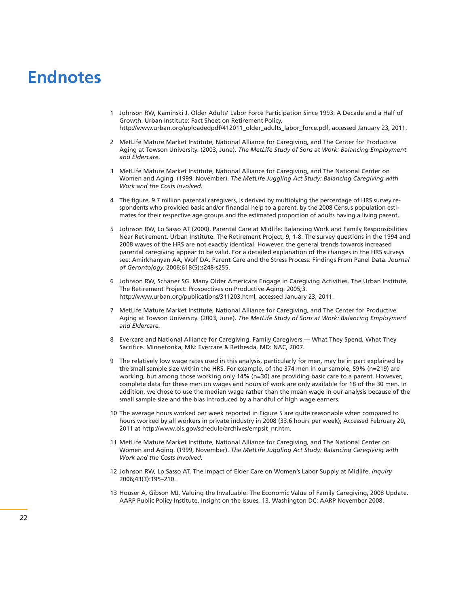## **Endnotes**

- 1 Johnson RW, Kaminski J. Older Adults' Labor Force Participation Since 1993: A Decade and a Half of Growth. Urban Institute: Fact Sheet on Retirement Policy, http://www.urban.org/uploadedpdf/412011\_older\_adults\_labor\_force.pdf, accessed January 23, 2011.
- 2 MetLife Mature Market Institute, National Alliance for Caregiving, and The Center for Productive Aging at Towson University. (2003, June). *The MetLife Study of Sons at Work: Balancing Employment and Eldercare.*
- 3 MetLife Mature Market Institute, National Alliance for Caregiving, and The National Center on Women and Aging. (1999, November). *The MetLife Juggling Act Study: Balancing Caregiving with Work and the Costs Involved.*
- 4 The figure, 9.7 million parental caregivers, is derived by multiplying the percentage of HRS survey respondents who provided basic and/or financial help to a parent, by the 2008 Census population estimates for their respective age groups and the estimated proportion of adults having a living parent.
- 5 Johnson RW, Lo Sasso AT (2000). Parental Care at Midlife: Balancing Work and Family Responsibilities Near Retirement. Urban Institute. The Retirement Project, 9, 1-8. The survey questions in the 1994 and 2008 waves of the HRS are not exactly identical. However, the general trends towards increased parental caregiving appear to be valid. For a detailed explanation of the changes in the HRS surveys see: Amirkhanyan AA, Wolf DA. Parent Care and the Stress Process: Findings From Panel Data. *Journal of Gerontology.* 2006;61B(5):s248-s255.
- 6 Johnson RW, Schaner SG. Many Older Americans Engage in Caregiving Activities. The Urban Institute, The Retirement Project: Prospectives on Productive Aging. 2005;3. http://www.urban.org/publications/311203.html, accessed January 23, 2011.
- 7 MetLife Mature Market Institute, National Alliance for Caregiving, and The Center for Productive Aging at Towson University. (2003, June). *The MetLife Study of Sons at Work: Balancing Employment and Eldercare.*
- 8 Evercare and National Alliance for Caregiving. Family Caregivers What They Spend, What They Sacrifice. Minnetonka, MN: Evercare & Bethesda, MD: NAC, 2007.
- 9 The relatively low wage rates used in this analysis, particularly for men, may be in part explained by the small sample size within the HRS. For example, of the 374 men in our sample, 59% (n=219) are working, but among those working only 14% (n=30) are providing basic care to a parent. However, complete data for these men on wages and hours of work are only available for 18 of the 30 men. In addition, we chose to use the median wage rather than the mean wage in our analysis because of the small sample size and the bias introduced by a handful of high wage earners.
- 10 The average hours worked per week reported in Figure 5 are quite reasonable when compared to hours worked by all workers in private industry in 2008 (33.6 hours per week); Accessed February 20, 2011 at http://www.bls.gov/schedule/archives/empsit\_nr.htm.
- 11 MetLife Mature Market Institute, National Alliance for Caregiving, and The National Center on Women and Aging. (1999, November). *The MetLife Juggling Act Study: Balancing Caregiving with Work and the Costs Involved.*
- 12 Johnson RW, Lo Sasso AT, The Impact of Elder Care on Women's Labor Supply at Midlife. *Inquiry* 2006;43(3):195–210.
- 13 Houser A, Gibson MJ, Valuing the Invaluable: The Economic Value of Family Caregiving, 2008 Update. AARP Public Policy Institute, Insight on the Issues, 13. Washington DC: AARP November 2008.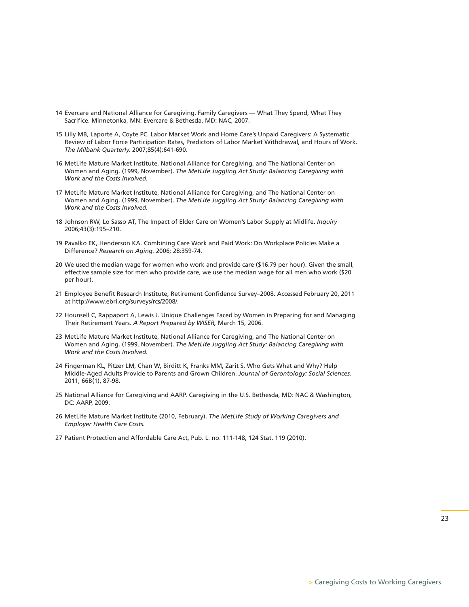- 14 Evercare and National Alliance for Caregiving. Family Caregivers What They Spend, What They Sacrifice. Minnetonka, MN: Evercare & Bethesda, MD: NAC, 2007.
- 15 Lilly MB, Laporte A, Coyte PC. Labor Market Work and Home Care's Unpaid Caregivers: A Systematic Review of Labor Force Participation Rates, Predictors of Labor Market Withdrawal, and Hours of Work. *The Milbank Quarterly.* 2007;85(4):641-690.
- 16 MetLife Mature Market Institute, National Alliance for Caregiving, and The National Center on Women and Aging. (1999, November). *The MetLife Juggling Act Study: Balancing Caregiving with Work and the Costs Involved.*
- 17 MetLife Mature Market Institute, National Alliance for Caregiving, and The National Center on Women and Aging. (1999, November). *The MetLife Juggling Act Study: Balancing Caregiving with Work and the Costs Involved.*
- 18 Johnson RW, Lo Sasso AT, The Impact of Elder Care on Women's Labor Supply at Midlife. *Inquiry* 2006;43(3):195–210.
- 19 Pavalko EK, Henderson KA. Combining Care Work and Paid Work: Do Workplace Policies Make a Difference? *Research on Aging.* 2006; 28:359-74.
- 20 We used the median wage for women who work and provide care (\$16.79 per hour). Given the small, effective sample size for men who provide care, we use the median wage for all men who work (\$20 per hour).
- 21 Employee Benefit Research Institute, Retirement Confidence Survey–2008. Accessed February 20, 2011 at http://www.ebri.org/surveys/rcs/2008/.
- 22 Hounsell C, Rappaport A, Lewis J. Unique Challenges Faced by Women in Preparing for and Managing Their Retirement Years. *A Report Prepared by WISER,* March 15, 2006.
- 23 MetLife Mature Market Institute, National Alliance for Caregiving, and The National Center on Women and Aging. (1999, November). *The MetLife Juggling Act Study: Balancing Caregiving with Work and the Costs Involved.*
- 24 Fingerman KL, Pitzer LM, Chan W, Birditt K, Franks MM, Zarit S. Who Gets What and Why? Help Middle-Aged Adults Provide to Parents and Grown Children. *Journal of Gerontology: Social Sciences,* 2011, 66B(1), 87-98.
- 25 National Alliance for Caregiving and AARP. Caregiving in the U.S. Bethesda, MD: NAC & Washington, DC: AARP, 2009.
- 26 MetLife Mature Market Institute (2010, February). *The MetLife Study of Working Caregivers and Employer Health Care Costs.*
- 27 Patient Protection and Affordable Care Act, Pub. L. no. 111-148, 124 Stat. 119 (2010).